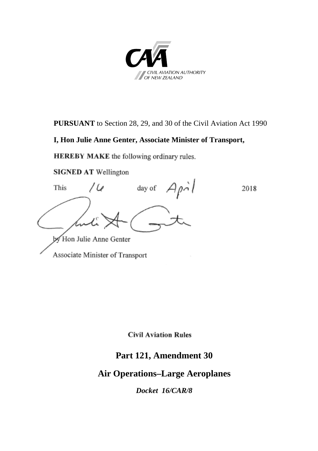

**PURSUANT** to Section 28, 29, and 30 of the Civil Aviation Act 1990

#### **I, Hon Julie Anne Genter, Associate Minister of Transport,**

**HEREBY MAKE** the following ordinary rules.

**SIGNED AT Wellington** 

 $Ap\dot{o}l$ day of This D 2018 by Hon Julie Anne Genter Associate Minister of Transport

**Civil Aviation Rules** 

## **Part 121, Amendment 30**

## **Air Operations–Large Aeroplanes**

*Docket 16/CAR/8*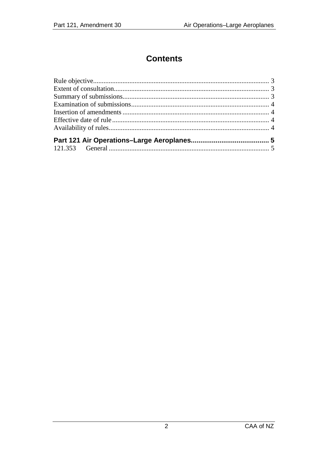# **Contents**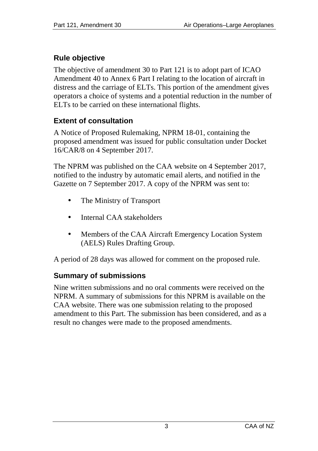## <span id="page-2-0"></span>**Rule objective**

The objective of amendment 30 to Part 121 is to adopt part of ICAO Amendment 40 to Annex 6 Part I relating to the location of aircraft in distress and the carriage of ELTs. This portion of the amendment gives operators a choice of systems and a potential reduction in the number of ELTs to be carried on these international flights.

### <span id="page-2-1"></span>**Extent of consultation**

A Notice of Proposed Rulemaking, NPRM 18-01, containing the proposed amendment was issued for public consultation under Docket 16/CAR/8 on 4 September 2017.

The NPRM was published on the CAA website on 4 September 2017, notified to the industry by automatic email alerts, and notified in the Gazette on 7 September 2017. A copy of the NPRM was sent to:

- The Ministry of Transport
- Internal CAA stakeholders
- Members of the CAA Aircraft Emergency Location System (AELS) Rules Drafting Group.

A period of 28 days was allowed for comment on the proposed rule.

#### <span id="page-2-2"></span>**Summary of submissions**

Nine written submissions and no oral comments were received on the NPRM. A summary of submissions for this NPRM is available on the CAA website. There was one submission relating to the proposed amendment to this Part. The submission has been considered, and as a result no changes were made to the proposed amendments.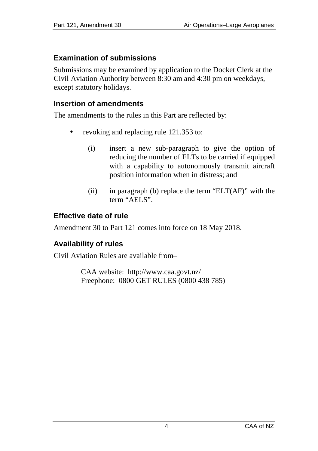### <span id="page-3-0"></span>**Examination of submissions**

Submissions may be examined by application to the Docket Clerk at the Civil Aviation Authority between 8:30 am and 4:30 pm on weekdays, except statutory holidays.

#### <span id="page-3-1"></span>**Insertion of amendments**

The amendments to the rules in this Part are reflected by:

- revoking and replacing rule 121.353 to:
	- (i) insert a new sub-paragraph to give the option of reducing the number of ELTs to be carried if equipped with a capability to autonomously transmit aircraft position information when in distress; and
	- (ii) in paragraph (b) replace the term " $ELT(AF)$ " with the term "AELS".

## <span id="page-3-2"></span>**Effective date of rule**

Amendment 30 to Part 121 comes into force on 18 May 2018.

## <span id="page-3-3"></span>**Availability of rules**

Civil Aviation Rules are available from–

CAA website: <http://www.caa.govt.nz/> Freephone: 0800 GET RULES (0800 438 785)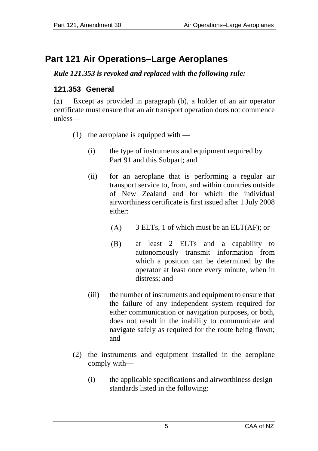# <span id="page-4-0"></span>**Part 121 Air Operations–Large Aeroplanes**

#### *Rule 121.353 is revoked and replaced with the following rule:*

### <span id="page-4-1"></span>**121.353 General**

Except as provided in paragraph (b), a holder of an air operator  $(a)$ certificate must ensure that an air transport operation does not commence unless—

- (1) the aeroplane is equipped with
	- (i) the type of instruments and equipment required by Part 91 and this Subpart; and
	- (ii) for an aeroplane that is performing a regular air transport service to, from, and within countries outside of New Zealand and for which the individual airworthiness certificate is first issued after 1 July 2008 either:
		- $(A)$ 3 ELTs, 1 of which must be an ELT(AF); or
		- (B) at least 2 ELTs and a capability to autonomously transmit information from which a position can be determined by the operator at least once every minute, when in distress; and
	- (iii) the number of instruments and equipment to ensure that the failure of any independent system required for either communication or navigation purposes, or both, does not result in the inability to communicate and navigate safely as required for the route being flown; and
- (2) the instruments and equipment installed in the aeroplane comply with—
	- (i) the applicable specifications and airworthiness design standards listed in the following: